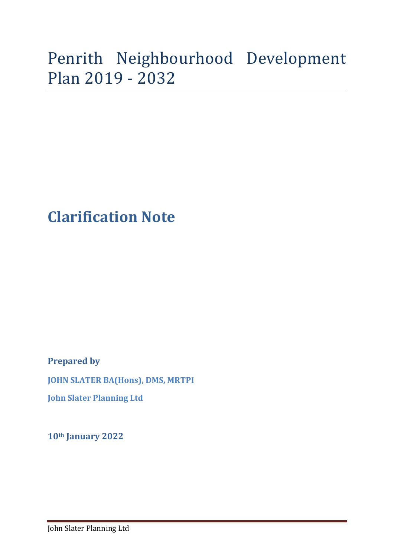## Penrith Neighbourhood Development Plan 2019 - 2032

## **Clarification Note**

**Prepared by** 

**JOHN SLATER BA(Hons), DMS, MRTPI**

**John Slater Planning Ltd**

**10th January 2022**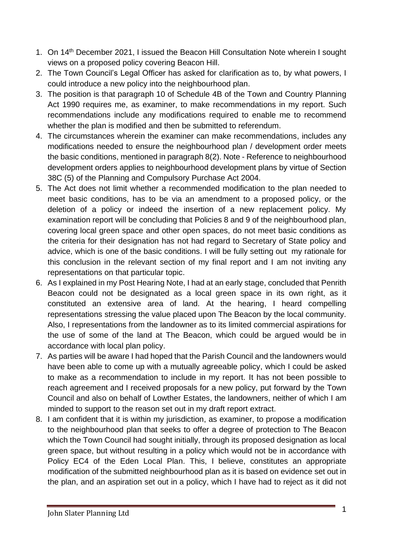- 1. On 14th December 2021, I issued the Beacon Hill Consultation Note wherein I sought views on a proposed policy covering Beacon Hill.
- 2. The Town Council's Legal Officer has asked for clarification as to, by what powers, I could introduce a new policy into the neighbourhood plan.
- 3. The position is that paragraph 10 of Schedule 4B of the Town and Country Planning Act 1990 requires me, as examiner, to make recommendations in my report. Such recommendations include any modifications required to enable me to recommend whether the plan is modified and then be submitted to referendum.
- 4. The circumstances wherein the examiner can make recommendations, includes any modifications needed to ensure the neighbourhood plan / development order meets the basic conditions, mentioned in paragraph 8(2). Note - Reference to neighbourhood development orders applies to neighbourhood development plans by virtue of Section 38C (5) of the Planning and Compulsory Purchase Act 2004.
- 5. The Act does not limit whether a recommended modification to the plan needed to meet basic conditions, has to be via an amendment to a proposed policy, or the deletion of a policy or indeed the insertion of a new replacement policy. My examination report will be concluding that Policies 8 and 9 of the neighbourhood plan, covering local green space and other open spaces, do not meet basic conditions as the criteria for their designation has not had regard to Secretary of State policy and advice, which is one of the basic conditions. I will be fully setting out my rationale for this conclusion in the relevant section of my final report and I am not inviting any representations on that particular topic.
- 6. As I explained in my Post Hearing Note, I had at an early stage, concluded that Penrith Beacon could not be designated as a local green space in its own right, as it constituted an extensive area of land. At the hearing, I heard compelling representations stressing the value placed upon The Beacon by the local community. Also, I representations from the landowner as to its limited commercial aspirations for the use of some of the land at The Beacon, which could be argued would be in accordance with local plan policy.
- 7. As parties will be aware I had hoped that the Parish Council and the landowners would have been able to come up with a mutually agreeable policy, which I could be asked to make as a recommendation to include in my report. It has not been possible to reach agreement and I received proposals for a new policy, put forward by the Town Council and also on behalf of Lowther Estates, the landowners, neither of which I am minded to support to the reason set out in my draft report extract.
- 8. I am confident that it is within my jurisdiction, as examiner, to propose a modification to the neighbourhood plan that seeks to offer a degree of protection to The Beacon which the Town Council had sought initially, through its proposed designation as local green space, but without resulting in a policy which would not be in accordance with Policy EC4 of the Eden Local Plan. This, I believe, constitutes an appropriate modification of the submitted neighbourhood plan as it is based on evidence set out in the plan, and an aspiration set out in a policy, which I have had to reject as it did not